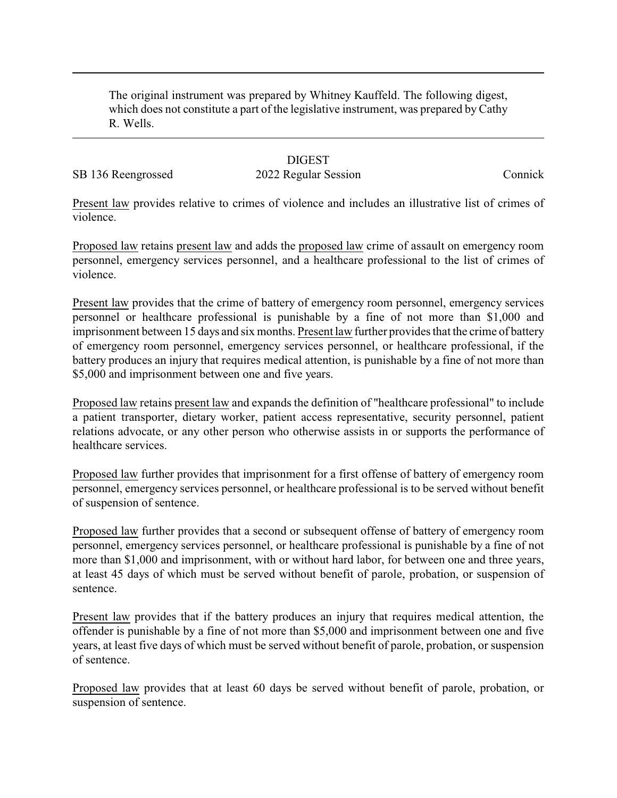The original instrument was prepared by Whitney Kauffeld. The following digest, which does not constitute a part of the legislative instrument, was prepared by Cathy R. Wells.

## **DIGEST**

## SB 136 Reengrossed 2022 Regular Session Connick

Present law provides relative to crimes of violence and includes an illustrative list of crimes of violence.

Proposed law retains present law and adds the proposed law crime of assault on emergency room personnel, emergency services personnel, and a healthcare professional to the list of crimes of violence.

Present law provides that the crime of battery of emergency room personnel, emergency services personnel or healthcare professional is punishable by a fine of not more than \$1,000 and imprisonment between 15 days and six months. Present law further provides that the crime of battery of emergency room personnel, emergency services personnel, or healthcare professional, if the battery produces an injury that requires medical attention, is punishable by a fine of not more than \$5,000 and imprisonment between one and five years.

Proposed law retains present law and expands the definition of "healthcare professional" to include a patient transporter, dietary worker, patient access representative, security personnel, patient relations advocate, or any other person who otherwise assists in or supports the performance of healthcare services.

Proposed law further provides that imprisonment for a first offense of battery of emergency room personnel, emergency services personnel, or healthcare professional is to be served without benefit of suspension of sentence.

Proposed law further provides that a second or subsequent offense of battery of emergency room personnel, emergency services personnel, or healthcare professional is punishable by a fine of not more than \$1,000 and imprisonment, with or without hard labor, for between one and three years, at least 45 days of which must be served without benefit of parole, probation, or suspension of sentence.

Present law provides that if the battery produces an injury that requires medical attention, the offender is punishable by a fine of not more than \$5,000 and imprisonment between one and five years, at least five days of which must be served without benefit of parole, probation, or suspension of sentence.

Proposed law provides that at least 60 days be served without benefit of parole, probation, or suspension of sentence.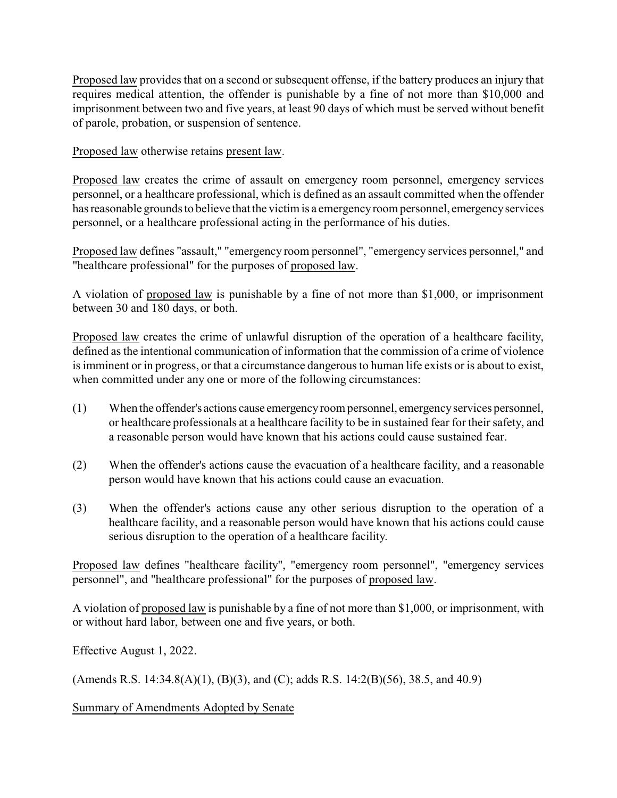Proposed law provides that on a second or subsequent offense, if the battery produces an injury that requires medical attention, the offender is punishable by a fine of not more than \$10,000 and imprisonment between two and five years, at least 90 days of which must be served without benefit of parole, probation, or suspension of sentence.

Proposed law otherwise retains present law.

Proposed law creates the crime of assault on emergency room personnel, emergency services personnel, or a healthcare professional, which is defined as an assault committed when the offender has reasonable grounds to believe that the victim is a emergencyroom personnel, emergencyservices personnel, or a healthcare professional acting in the performance of his duties.

Proposed law defines "assault," "emergency room personnel", "emergency services personnel," and "healthcare professional" for the purposes of proposed law.

A violation of proposed law is punishable by a fine of not more than \$1,000, or imprisonment between 30 and 180 days, or both.

Proposed law creates the crime of unlawful disruption of the operation of a healthcare facility, defined as the intentional communication of information that the commission of a crime of violence is imminent or in progress, or that a circumstance dangerous to human life exists or is about to exist, when committed under any one or more of the following circumstances:

- (1) When the offender's actions cause emergencyroom personnel, emergencyservices personnel, or healthcare professionals at a healthcare facility to be in sustained fear for their safety, and a reasonable person would have known that his actions could cause sustained fear.
- (2) When the offender's actions cause the evacuation of a healthcare facility, and a reasonable person would have known that his actions could cause an evacuation.
- (3) When the offender's actions cause any other serious disruption to the operation of a healthcare facility, and a reasonable person would have known that his actions could cause serious disruption to the operation of a healthcare facility.

Proposed law defines "healthcare facility", "emergency room personnel", "emergency services personnel", and "healthcare professional" for the purposes of proposed law.

A violation of proposed law is punishable by a fine of not more than \$1,000, or imprisonment, with or without hard labor, between one and five years, or both.

Effective August 1, 2022.

(Amends R.S. 14:34.8(A)(1), (B)(3), and (C); adds R.S. 14:2(B)(56), 38.5, and 40.9)

Summary of Amendments Adopted by Senate